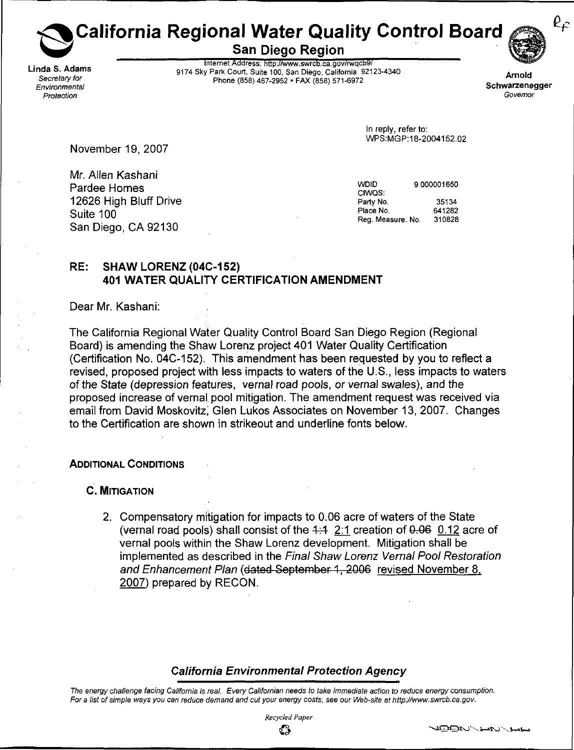California Regional Water Quality Control Board  $\operatorname{\mathsf{\mathfrak{S}^a}}^{\mathcal{C}_{\mathcal{F}}}$ 

San Diego Region

. . . \_ . . internet Address: <http://www.swrcb.ca.gov/rwqcb9/> nda S. Adams<br>19174 Sky Park Court, Suite 100, San Diego, California 92123-4340 Arnold<br>1917 - Phone (858) 457, 2052 - EAY (959) 571, 6072 Secretary for primary and the process of phone (858) 467-2952 . FAX (858) 571-6972<br>Environmental Schwarzenegger



Environmental Schwarzenegger i Schwarzenegger i Schwarzenegger i Schwarzenegger i Schwarzenegger i Schwarzenegger Protection Governor Constants of the constant of the constant of the constant of the constant of the constant of the constant of the constant of the constant of the constant of the constant of the constant of the constant

> In reply, refer to: WPS:MGP: 18-2004152.02

November 19, 2007

Mr. Allen Kashani Pardee Homes **and Service Service Service Service Service Service Service Service Service Service Service Service Service Service Service Service Service Service Service Service Service Service Service Service Service Serv** 12626 High Bluff Drive **Party No.** 35134<br>
Suite 100 641282 المستخدم المستخدم المستخدم المستخدم المستخدم المستخدم المستخدم المستخدم المستخدم المستخدم المستخدم المستخدم ال<br>والتحديث المستخدم المستخدم المستخدم المستخدم المستخدم المستخدم المستخدم المستخدم المستخدم المستخدم المستخدم ال San Diego, CA 92130

Reg. Measure. No. 310828

## RE: SHAW LORENZ (04C-152) 401 WATER QUALITY CERTIFICATION AMENDMENT

Dear Mr. Kashani:

The California Regional Water Quality Control Board San Diego Region (Regional Board) is amending the Shaw Lorenz project 401 Water Quality Certification (Certification No. 04C-152). This amendment has been requested by you to reflect a revised, proposed project with less impacts to waters of the U.S., less impacts to waters of the State (depression features, vernal road pools, or vernal swales), and the proposed increase of vernal pool mitigation. The amendment request was received via email from David Moskovitz; Glen Lukos Associates on November 13, 2007. Changes to the Certification are shown in strikeout and underline fonts below.

## ADDITIONAL CONDITIONS

C. MITIGATION

2. Compensatory mitigation for impacts to 0.06 acre of waters of the State (vernal road pools) shall consist of the  $4:4$  2:1 creation of  $0.06$  0.12 acre of vernal pools within the Shaw Lorenz development. Mitigation shall be implemented as described in the Final Shaw Lorenz Vernal Pool Restoration and Enhancement Plan (dated September 1, 2006 revised November 8. 2007) prepared by RECON.

## California Environmental Protection Agency

The energy challenge facing California is real. Every Californian needs to take immediate action to reduce energy consumption. For a list of simple ways you can reduce demand and cut your energy costs, see our Web-site at [http://www.swrcb.ca.gov.](http://www.swrcb.ca.gov)

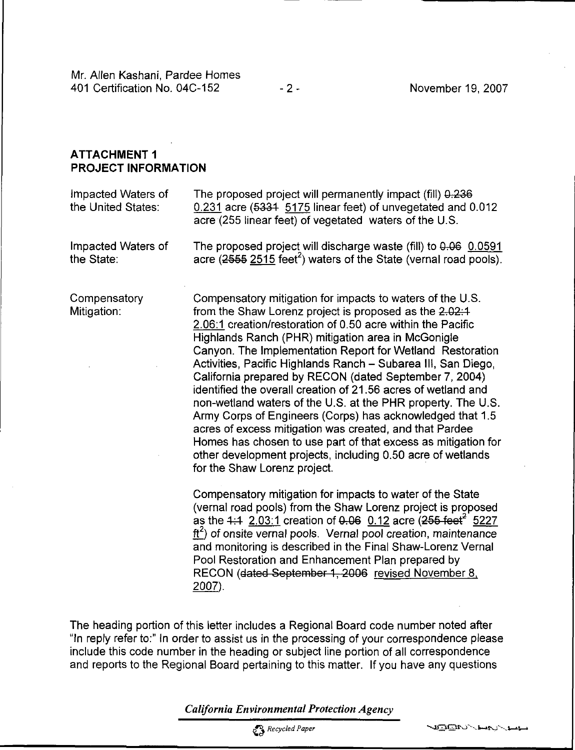## ATTACHMENT 1 PROJECT INFORMATION

| Impacted Waters of<br>the United States: | The proposed project will permanently impact (fill) 0.236<br>0.231 acre (5334 5175 linear feet) of unvegetated and 0.012<br>acre (255 linear feet) of vegetated waters of the U.S.                                                                                                                                                                                                                                                                                                                                                                                                                                                                                                                                                                                                                                                                        |
|------------------------------------------|-----------------------------------------------------------------------------------------------------------------------------------------------------------------------------------------------------------------------------------------------------------------------------------------------------------------------------------------------------------------------------------------------------------------------------------------------------------------------------------------------------------------------------------------------------------------------------------------------------------------------------------------------------------------------------------------------------------------------------------------------------------------------------------------------------------------------------------------------------------|
| Impacted Waters of<br>the State:         | The proposed project will discharge waste (fill) to 0.06 0.0591<br>acre $(2555 \ 2515 \ \text{feet}^2)$ waters of the State (vernal road pools).                                                                                                                                                                                                                                                                                                                                                                                                                                                                                                                                                                                                                                                                                                          |
| Compensatory<br>Mitigation:              | Compensatory mitigation for impacts to waters of the U.S.<br>from the Shaw Lorenz project is proposed as the 2.02:1<br>2.06:1 creation/restoration of 0.50 acre within the Pacific<br>Highlands Ranch (PHR) mitigation area in McGonigle<br>Canyon. The Implementation Report for Wetland Restoration<br>Activities, Pacific Highlands Ranch - Subarea III, San Diego,<br>California prepared by RECON (dated September 7, 2004)<br>identified the overall creation of 21.56 acres of wetland and<br>non-wetland waters of the U.S. at the PHR property. The U.S.<br>Army Corps of Engineers (Corps) has acknowledged that 1.5<br>acres of excess mitigation was created, and that Pardee<br>Homes has chosen to use part of that excess as mitigation for<br>other development projects, including 0.50 acre of wetlands<br>for the Shaw Lorenz project. |
|                                          | Compensatory mitigation for impacts to water of the State<br>(vernal road pools) from the Shaw Lorenz project is proposed<br>as the $4:4$ 2.03:1 creation of 0.06 0.12 acre (255 feet <sup>2</sup> 5227<br>$\text{ft}^2$ ) of onsite vernal pools. Vernal pool creation, maintenance<br>and monitoring is described in the Final Shaw-Lorenz Vernal<br>Pool Restoration and Enhancement Plan prepared by<br>RECON (dated September 1, 2006 revised November 8.<br>2007).                                                                                                                                                                                                                                                                                                                                                                                  |

The heading portion of this letter includes a Regional Board code number noted after "In reply refer to:" In order to assist us in the processing of your correspondence please include this code number in the heading or subject line portion of all correspondence and reports to the Regional Board pertaining to this matter. If you have any questions

California Environmental Protection Agency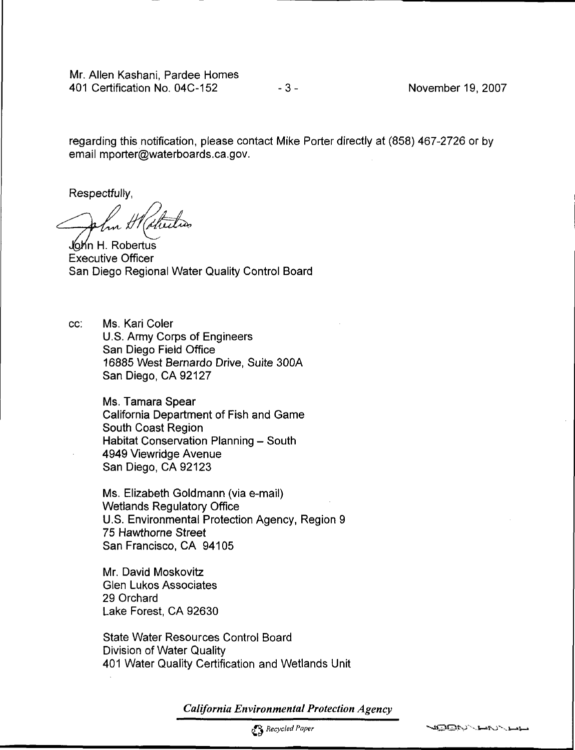Mr. Allen Kashani, Pardee Homes 401 Certification No. 04C-152 - 3 - November 19, 2007

regarding this notification, please contact Mike Porter directly at (858) 467-2726 or by email [mporter@waterboards.ca.gov.](mailto:mporter@waterboards.ca.gov)

Respectfully,

John H. Robertus Executive Officer San Diego Regional Water Quality Control Board

cc: Ms. Kari Coler U.S. Army Corps of Engineers San Diego Field Office 16885 West Bernardo Drive, Suite 300A San Diego. CA 92127

> Ms. Tamara Spear California Department of Fish and Game South Coast Region Habitat Conservation Planning - South 4949 Viewridge Avenue San Diego, CA 92123

Ms. Elizabeth Goldmann (via e-mail) Wetlands Regulatory Office U.S. Environmental Protection Agency, Region 9 75 Hawthorne Street San Francisco, CA 94105

Mr. David Moskovitz Glen Lukos Associates 29 Orchard Lake Forest, CA 92630

State Water Resources Control Board Division of Water Quality 401 Water Quality Certification and Wetlands Unit

California Environmental Protection Agency